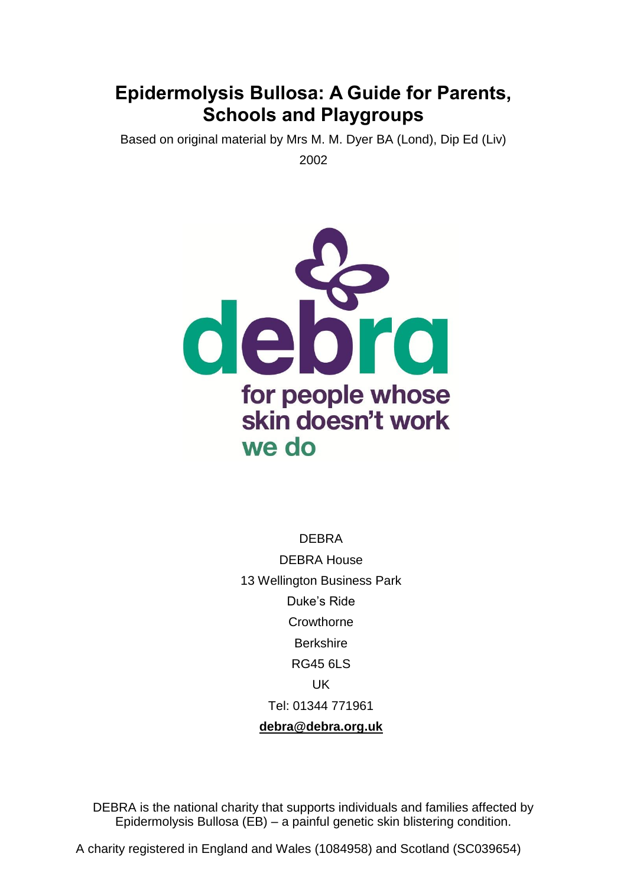# **Epidermolysis Bullosa: A Guide for Parents, Schools and Playgroups**

Based on original material by Mrs M. M. Dyer BA (Lond), Dip Ed (Liv) 2002



DEBRA DEBRA House 13 Wellington Business Park Duke's Ride **Crowthorne Berkshire** RG45 6LS UK Tel: 01344 771961 **[debra@debra.org.uk](mailto:debra@debra.org.uk)**

DEBRA is the national charity that supports individuals and families affected by Epidermolysis Bullosa (EB) – a painful genetic skin blistering condition.

A charity registered in England and Wales (1084958) and Scotland (SC039654)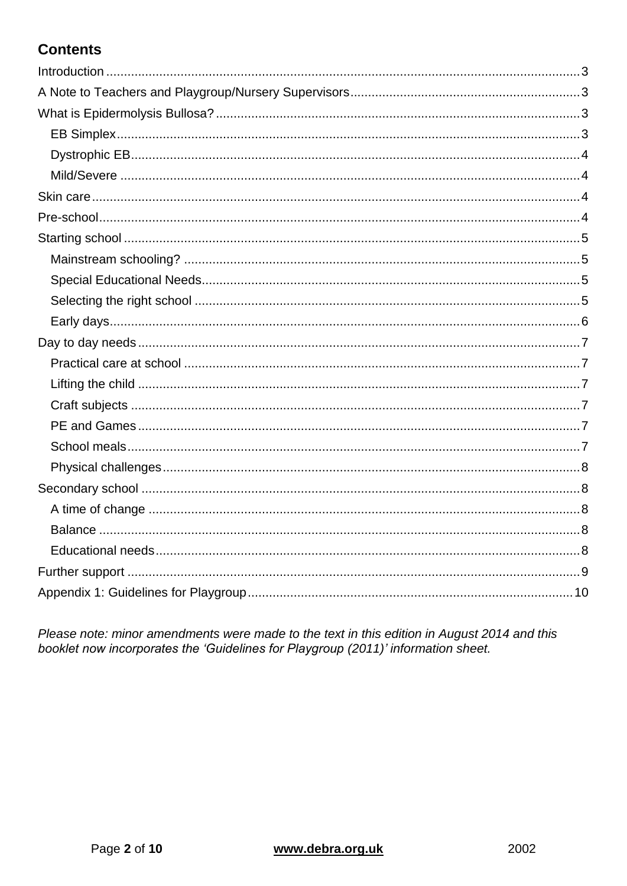## **Contents**

Please note: minor amendments were made to the text in this edition in August 2014 and this booklet now incorporates the 'Guidelines for Playgroup (2011)' information sheet.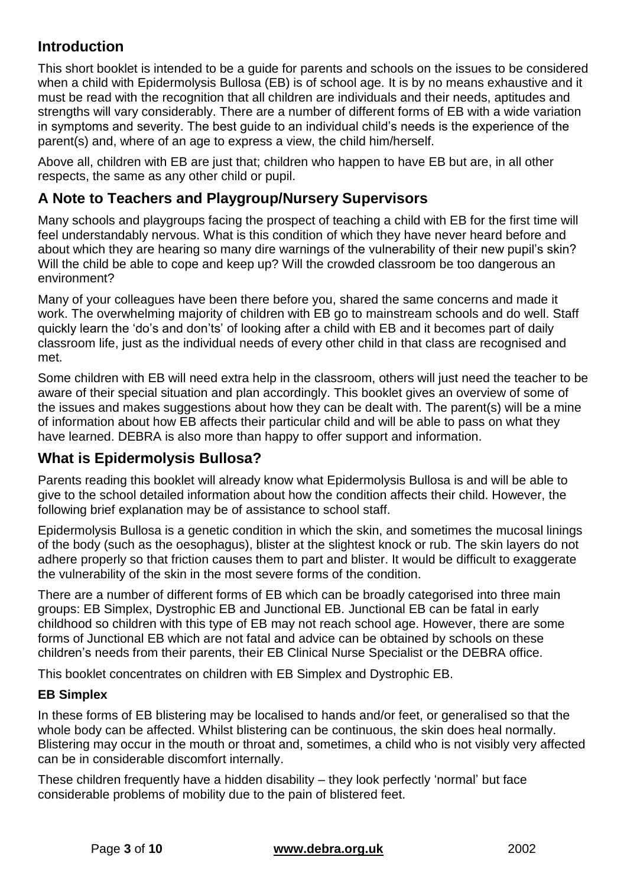## <span id="page-2-0"></span>**Introduction**

This short booklet is intended to be a guide for parents and schools on the issues to be considered when a child with Epidermolysis Bullosa (EB) is of school age. It is by no means exhaustive and it must be read with the recognition that all children are individuals and their needs, aptitudes and strengths will vary considerably. There are a number of different forms of EB with a wide variation in symptoms and severity. The best guide to an individual child's needs is the experience of the parent(s) and, where of an age to express a view, the child him/herself.

Above all, children with EB are just that; children who happen to have EB but are, in all other respects, the same as any other child or pupil.

## <span id="page-2-1"></span>**A Note to Teachers and Playgroup/Nursery Supervisors**

Many schools and playgroups facing the prospect of teaching a child with EB for the first time will feel understandably nervous. What is this condition of which they have never heard before and about which they are hearing so many dire warnings of the vulnerability of their new pupil's skin? Will the child be able to cope and keep up? Will the crowded classroom be too dangerous an environment?

Many of your colleagues have been there before you, shared the same concerns and made it work. The overwhelming majority of children with EB go to mainstream schools and do well. Staff quickly learn the 'do's and don'ts' of looking after a child with EB and it becomes part of daily classroom life, just as the individual needs of every other child in that class are recognised and met.

Some children with EB will need extra help in the classroom, others will just need the teacher to be aware of their special situation and plan accordingly. This booklet gives an overview of some of the issues and makes suggestions about how they can be dealt with. The parent(s) will be a mine of information about how EB affects their particular child and will be able to pass on what they have learned. DEBRA is also more than happy to offer support and information.

## <span id="page-2-2"></span>**What is Epidermolysis Bullosa?**

Parents reading this booklet will already know what Epidermolysis Bullosa is and will be able to give to the school detailed information about how the condition affects their child. However, the following brief explanation may be of assistance to school staff.

Epidermolysis Bullosa is a genetic condition in which the skin, and sometimes the mucosal linings of the body (such as the oesophagus), blister at the slightest knock or rub. The skin layers do not adhere properly so that friction causes them to part and blister. It would be difficult to exaggerate the vulnerability of the skin in the most severe forms of the condition.

There are a number of different forms of EB which can be broadly categorised into three main groups: EB Simplex, Dystrophic EB and Junctional EB. Junctional EB can be fatal in early childhood so children with this type of EB may not reach school age. However, there are some forms of Junctional EB which are not fatal and advice can be obtained by schools on these children's needs from their parents, their EB Clinical Nurse Specialist or the DEBRA office.

This booklet concentrates on children with EB Simplex and Dystrophic EB.

#### <span id="page-2-3"></span>**EB Simplex**

In these forms of EB blistering may be localised to hands and/or feet, or generalised so that the whole body can be affected. Whilst blistering can be continuous, the skin does heal normally. Blistering may occur in the mouth or throat and, sometimes, a child who is not visibly very affected can be in considerable discomfort internally.

These children frequently have a hidden disability – they look perfectly 'normal' but face considerable problems of mobility due to the pain of blistered feet.

#### Page **3** of **10 [www.debra.org.uk](http://www.debra.org.uk/)** 2002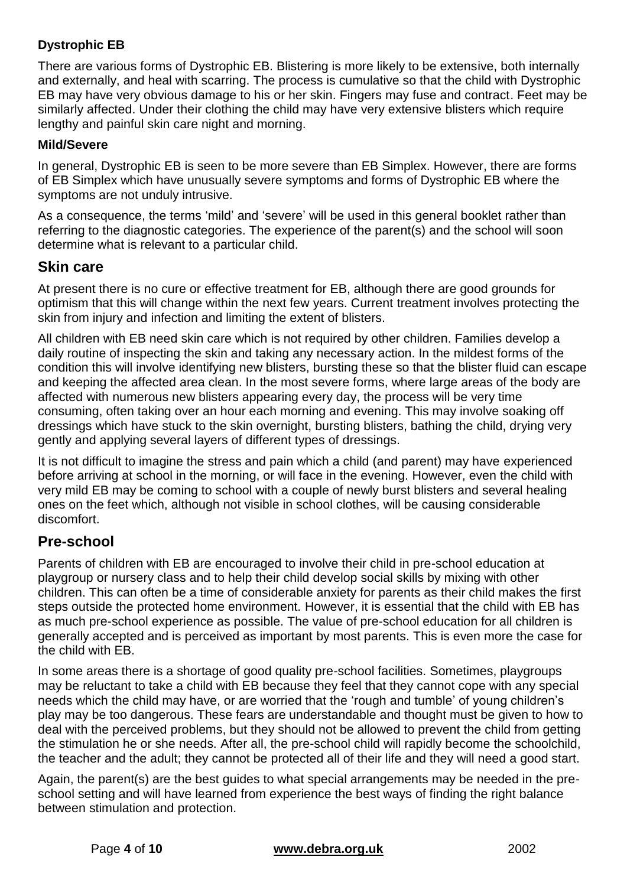### <span id="page-3-0"></span>**Dystrophic EB**

There are various forms of Dystrophic EB. Blistering is more likely to be extensive, both internally and externally, and heal with scarring. The process is cumulative so that the child with Dystrophic EB may have very obvious damage to his or her skin. Fingers may fuse and contract. Feet may be similarly affected. Under their clothing the child may have very extensive blisters which require lengthy and painful skin care night and morning.

#### <span id="page-3-1"></span>**Mild/Severe**

In general, Dystrophic EB is seen to be more severe than EB Simplex. However, there are forms of EB Simplex which have unusually severe symptoms and forms of Dystrophic EB where the symptoms are not unduly intrusive.

As a consequence, the terms 'mild' and 'severe' will be used in this general booklet rather than referring to the diagnostic categories. The experience of the parent(s) and the school will soon determine what is relevant to a particular child.

### <span id="page-3-2"></span>**Skin care**

At present there is no cure or effective treatment for EB, although there are good grounds for optimism that this will change within the next few years. Current treatment involves protecting the skin from injury and infection and limiting the extent of blisters.

All children with EB need skin care which is not required by other children. Families develop a daily routine of inspecting the skin and taking any necessary action. In the mildest forms of the condition this will involve identifying new blisters, bursting these so that the blister fluid can escape and keeping the affected area clean. In the most severe forms, where large areas of the body are affected with numerous new blisters appearing every day, the process will be very time consuming, often taking over an hour each morning and evening. This may involve soaking off dressings which have stuck to the skin overnight, bursting blisters, bathing the child, drying very gently and applying several layers of different types of dressings.

It is not difficult to imagine the stress and pain which a child (and parent) may have experienced before arriving at school in the morning, or will face in the evening. However, even the child with very mild EB may be coming to school with a couple of newly burst blisters and several healing ones on the feet which, although not visible in school clothes, will be causing considerable discomfort.

## <span id="page-3-3"></span>**Pre-school**

Parents of children with EB are encouraged to involve their child in pre-school education at playgroup or nursery class and to help their child develop social skills by mixing with other children. This can often be a time of considerable anxiety for parents as their child makes the first steps outside the protected home environment. However, it is essential that the child with EB has as much pre-school experience as possible. The value of pre-school education for all children is generally accepted and is perceived as important by most parents. This is even more the case for the child with EB.

In some areas there is a shortage of good quality pre-school facilities. Sometimes, playgroups may be reluctant to take a child with EB because they feel that they cannot cope with any special needs which the child may have, or are worried that the 'rough and tumble' of young children's play may be too dangerous. These fears are understandable and thought must be given to how to deal with the perceived problems, but they should not be allowed to prevent the child from getting the stimulation he or she needs. After all, the pre-school child will rapidly become the schoolchild, the teacher and the adult; they cannot be protected all of their life and they will need a good start.

Again, the parent(s) are the best guides to what special arrangements may be needed in the preschool setting and will have learned from experience the best ways of finding the right balance between stimulation and protection.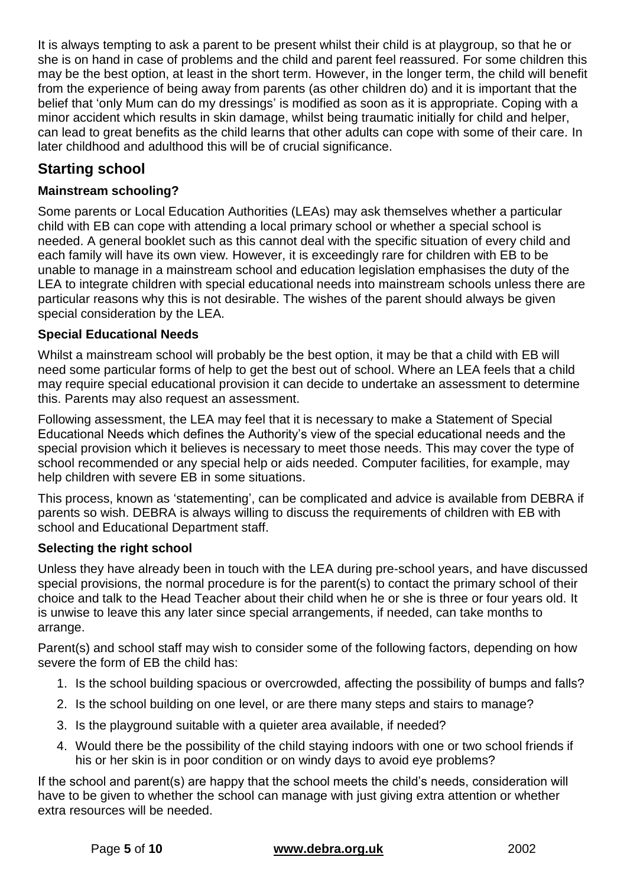It is always tempting to ask a parent to be present whilst their child is at playgroup, so that he or she is on hand in case of problems and the child and parent feel reassured. For some children this may be the best option, at least in the short term. However, in the longer term, the child will benefit from the experience of being away from parents (as other children do) and it is important that the belief that 'only Mum can do my dressings' is modified as soon as it is appropriate. Coping with a minor accident which results in skin damage, whilst being traumatic initially for child and helper, can lead to great benefits as the child learns that other adults can cope with some of their care. In later childhood and adulthood this will be of crucial significance.

## <span id="page-4-0"></span>**Starting school**

## <span id="page-4-1"></span>**Mainstream schooling?**

Some parents or Local Education Authorities (LEAs) may ask themselves whether a particular child with EB can cope with attending a local primary school or whether a special school is needed. A general booklet such as this cannot deal with the specific situation of every child and each family will have its own view. However, it is exceedingly rare for children with EB to be unable to manage in a mainstream school and education legislation emphasises the duty of the LEA to integrate children with special educational needs into mainstream schools unless there are particular reasons why this is not desirable. The wishes of the parent should always be given special consideration by the LEA.

## <span id="page-4-2"></span>**Special Educational Needs**

Whilst a mainstream school will probably be the best option, it may be that a child with EB will need some particular forms of help to get the best out of school. Where an LEA feels that a child may require special educational provision it can decide to undertake an assessment to determine this. Parents may also request an assessment.

Following assessment, the LEA may feel that it is necessary to make a Statement of Special Educational Needs which defines the Authority's view of the special educational needs and the special provision which it believes is necessary to meet those needs. This may cover the type of school recommended or any special help or aids needed. Computer facilities, for example, may help children with severe EB in some situations.

This process, known as 'statementing', can be complicated and advice is available from DEBRA if parents so wish. DEBRA is always willing to discuss the requirements of children with EB with school and Educational Department staff.

#### <span id="page-4-3"></span>**Selecting the right school**

Unless they have already been in touch with the LEA during pre-school years, and have discussed special provisions, the normal procedure is for the parent(s) to contact the primary school of their choice and talk to the Head Teacher about their child when he or she is three or four years old. It is unwise to leave this any later since special arrangements, if needed, can take months to arrange.

Parent(s) and school staff may wish to consider some of the following factors, depending on how severe the form of EB the child has:

- 1. Is the school building spacious or overcrowded, affecting the possibility of bumps and falls?
- 2. Is the school building on one level, or are there many steps and stairs to manage?
- 3. Is the playground suitable with a quieter area available, if needed?
- 4. Would there be the possibility of the child staying indoors with one or two school friends if his or her skin is in poor condition or on windy days to avoid eye problems?

If the school and parent(s) are happy that the school meets the child's needs, consideration will have to be given to whether the school can manage with just giving extra attention or whether extra resources will be needed.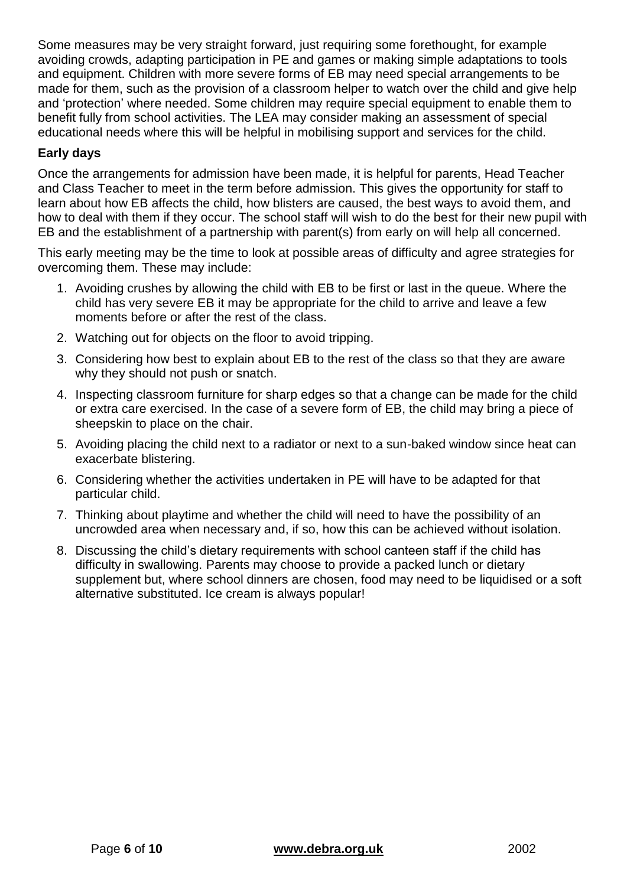Some measures may be very straight forward, just requiring some forethought, for example avoiding crowds, adapting participation in PE and games or making simple adaptations to tools and equipment. Children with more severe forms of EB may need special arrangements to be made for them, such as the provision of a classroom helper to watch over the child and give help and 'protection' where needed. Some children may require special equipment to enable them to benefit fully from school activities. The LEA may consider making an assessment of special educational needs where this will be helpful in mobilising support and services for the child.

#### <span id="page-5-0"></span>**Early days**

Once the arrangements for admission have been made, it is helpful for parents, Head Teacher and Class Teacher to meet in the term before admission. This gives the opportunity for staff to learn about how EB affects the child, how blisters are caused, the best ways to avoid them, and how to deal with them if they occur. The school staff will wish to do the best for their new pupil with EB and the establishment of a partnership with parent(s) from early on will help all concerned.

This early meeting may be the time to look at possible areas of difficulty and agree strategies for overcoming them. These may include:

- 1. Avoiding crushes by allowing the child with EB to be first or last in the queue. Where the child has very severe EB it may be appropriate for the child to arrive and leave a few moments before or after the rest of the class.
- 2. Watching out for objects on the floor to avoid tripping.
- 3. Considering how best to explain about EB to the rest of the class so that they are aware why they should not push or snatch.
- 4. Inspecting classroom furniture for sharp edges so that a change can be made for the child or extra care exercised. In the case of a severe form of EB, the child may bring a piece of sheepskin to place on the chair.
- 5. Avoiding placing the child next to a radiator or next to a sun-baked window since heat can exacerbate blistering.
- 6. Considering whether the activities undertaken in PE will have to be adapted for that particular child.
- 7. Thinking about playtime and whether the child will need to have the possibility of an uncrowded area when necessary and, if so, how this can be achieved without isolation.
- 8. Discussing the child's dietary requirements with school canteen staff if the child has difficulty in swallowing. Parents may choose to provide a packed lunch or dietary supplement but, where school dinners are chosen, food may need to be liquidised or a soft alternative substituted. Ice cream is always popular!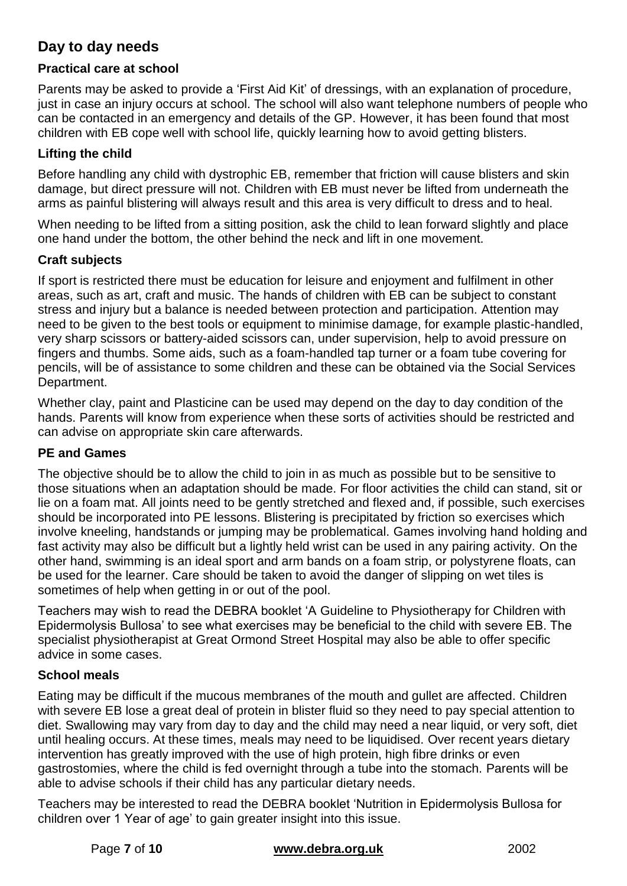## <span id="page-6-0"></span>**Day to day needs**

#### <span id="page-6-1"></span>**Practical care at school**

Parents may be asked to provide a 'First Aid Kit' of dressings, with an explanation of procedure, just in case an injury occurs at school. The school will also want telephone numbers of people who can be contacted in an emergency and details of the GP. However, it has been found that most children with EB cope well with school life, quickly learning how to avoid getting blisters.

#### <span id="page-6-2"></span>**Lifting the child**

Before handling any child with dystrophic EB, remember that friction will cause blisters and skin damage, but direct pressure will not. Children with EB must never be lifted from underneath the arms as painful blistering will always result and this area is very difficult to dress and to heal.

When needing to be lifted from a sitting position, ask the child to lean forward slightly and place one hand under the bottom, the other behind the neck and lift in one movement.

#### <span id="page-6-3"></span>**Craft subjects**

If sport is restricted there must be education for leisure and enjoyment and fulfilment in other areas, such as art, craft and music. The hands of children with EB can be subject to constant stress and injury but a balance is needed between protection and participation. Attention may need to be given to the best tools or equipment to minimise damage, for example plastic-handled, very sharp scissors or battery-aided scissors can, under supervision, help to avoid pressure on fingers and thumbs. Some aids, such as a foam-handled tap turner or a foam tube covering for pencils, will be of assistance to some children and these can be obtained via the Social Services Department.

Whether clay, paint and Plasticine can be used may depend on the day to day condition of the hands. Parents will know from experience when these sorts of activities should be restricted and can advise on appropriate skin care afterwards.

#### <span id="page-6-4"></span>**PE and Games**

The objective should be to allow the child to join in as much as possible but to be sensitive to those situations when an adaptation should be made. For floor activities the child can stand, sit or lie on a foam mat. All joints need to be gently stretched and flexed and, if possible, such exercises should be incorporated into PE lessons. Blistering is precipitated by friction so exercises which involve kneeling, handstands or jumping may be problematical. Games involving hand holding and fast activity may also be difficult but a lightly held wrist can be used in any pairing activity. On the other hand, swimming is an ideal sport and arm bands on a foam strip, or polystyrene floats, can be used for the learner. Care should be taken to avoid the danger of slipping on wet tiles is sometimes of help when getting in or out of the pool.

Teachers may wish to read the DEBRA booklet 'A Guideline to Physiotherapy for Children with Epidermolysis Bullosa' to see what exercises may be beneficial to the child with severe EB. The specialist physiotherapist at Great Ormond Street Hospital may also be able to offer specific advice in some cases.

#### <span id="page-6-5"></span>**School meals**

Eating may be difficult if the mucous membranes of the mouth and gullet are affected. Children with severe EB lose a great deal of protein in blister fluid so they need to pay special attention to diet. Swallowing may vary from day to day and the child may need a near liquid, or very soft, diet until healing occurs. At these times, meals may need to be liquidised. Over recent years dietary intervention has greatly improved with the use of high protein, high fibre drinks or even gastrostomies, where the child is fed overnight through a tube into the stomach. Parents will be able to advise schools if their child has any particular dietary needs.

Teachers may be interested to read the DEBRA booklet 'Nutrition in Epidermolysis Bullosa for children over 1 Year of age' to gain greater insight into this issue.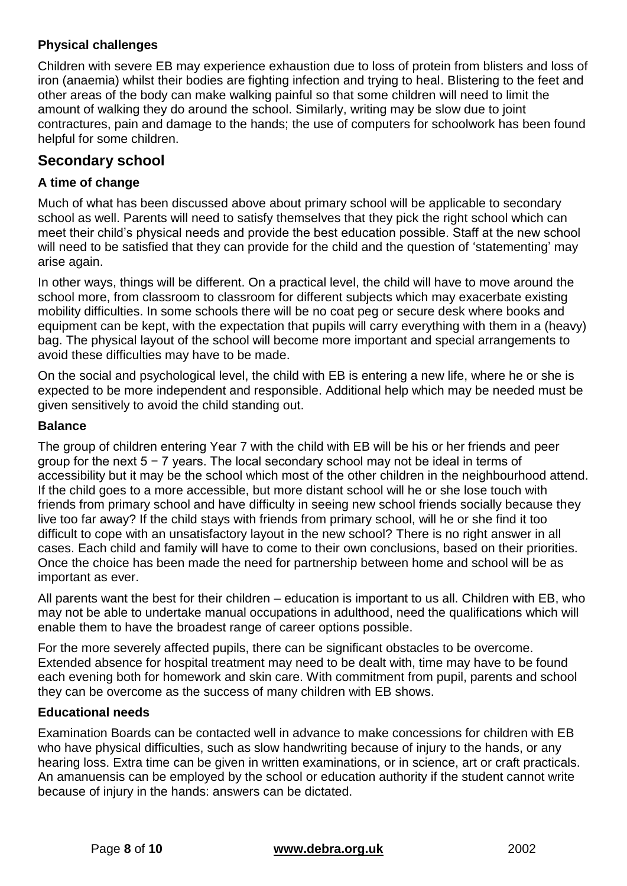#### <span id="page-7-0"></span>**Physical challenges**

Children with severe EB may experience exhaustion due to loss of protein from blisters and loss of iron (anaemia) whilst their bodies are fighting infection and trying to heal. Blistering to the feet and other areas of the body can make walking painful so that some children will need to limit the amount of walking they do around the school. Similarly, writing may be slow due to joint contractures, pain and damage to the hands; the use of computers for schoolwork has been found helpful for some children.

## <span id="page-7-1"></span>**Secondary school**

### <span id="page-7-2"></span>**A time of change**

Much of what has been discussed above about primary school will be applicable to secondary school as well. Parents will need to satisfy themselves that they pick the right school which can meet their child's physical needs and provide the best education possible. Staff at the new school will need to be satisfied that they can provide for the child and the question of 'statementing' may arise again.

In other ways, things will be different. On a practical level, the child will have to move around the school more, from classroom to classroom for different subjects which may exacerbate existing mobility difficulties. In some schools there will be no coat peg or secure desk where books and equipment can be kept, with the expectation that pupils will carry everything with them in a (heavy) bag. The physical layout of the school will become more important and special arrangements to avoid these difficulties may have to be made.

On the social and psychological level, the child with EB is entering a new life, where he or she is expected to be more independent and responsible. Additional help which may be needed must be given sensitively to avoid the child standing out.

#### <span id="page-7-3"></span>**Balance**

The group of children entering Year 7 with the child with EB will be his or her friends and peer group for the next 5 − 7 years. The local secondary school may not be ideal in terms of accessibility but it may be the school which most of the other children in the neighbourhood attend. If the child goes to a more accessible, but more distant school will he or she lose touch with friends from primary school and have difficulty in seeing new school friends socially because they live too far away? If the child stays with friends from primary school, will he or she find it too difficult to cope with an unsatisfactory layout in the new school? There is no right answer in all cases. Each child and family will have to come to their own conclusions, based on their priorities. Once the choice has been made the need for partnership between home and school will be as important as ever.

All parents want the best for their children – education is important to us all. Children with EB, who may not be able to undertake manual occupations in adulthood, need the qualifications which will enable them to have the broadest range of career options possible.

For the more severely affected pupils, there can be significant obstacles to be overcome. Extended absence for hospital treatment may need to be dealt with, time may have to be found each evening both for homework and skin care. With commitment from pupil, parents and school they can be overcome as the success of many children with EB shows.

#### <span id="page-7-4"></span>**Educational needs**

Examination Boards can be contacted well in advance to make concessions for children with EB who have physical difficulties, such as slow handwriting because of injury to the hands, or any hearing loss. Extra time can be given in written examinations, or in science, art or craft practicals. An amanuensis can be employed by the school or education authority if the student cannot write because of injury in the hands: answers can be dictated.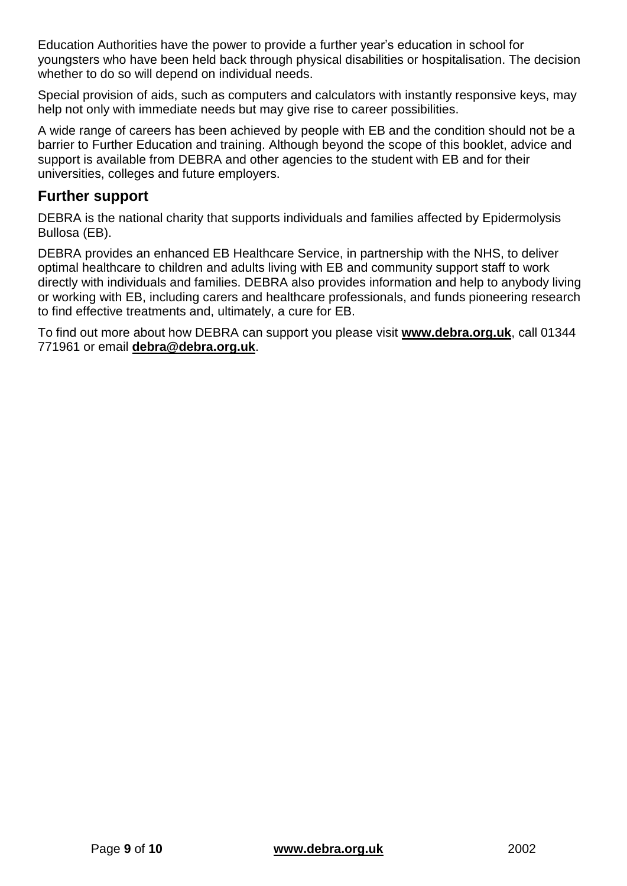Education Authorities have the power to provide a further year's education in school for youngsters who have been held back through physical disabilities or hospitalisation. The decision whether to do so will depend on individual needs.

Special provision of aids, such as computers and calculators with instantly responsive keys, may help not only with immediate needs but may give rise to career possibilities.

A wide range of careers has been achieved by people with EB and the condition should not be a barrier to Further Education and training. Although beyond the scope of this booklet, advice and support is available from DEBRA and other agencies to the student with EB and for their universities, colleges and future employers.

### <span id="page-8-0"></span>**Further support**

DEBRA is the national charity that supports individuals and families affected by Epidermolysis Bullosa (EB).

DEBRA provides an enhanced EB Healthcare Service, in partnership with the NHS, to deliver optimal healthcare to children and adults living with EB and community support staff to work directly with individuals and families. DEBRA also provides information and help to anybody living or working with EB, including carers and healthcare professionals, and funds pioneering research to find effective treatments and, ultimately, a cure for EB.

To find out more about how DEBRA can support you please visit **[www.debra.org.uk](http://www.debra.org.uk/)**, call 01344 771961 or email **[debra@debra.org.uk](mailto:debra@debra.org.uk)**.